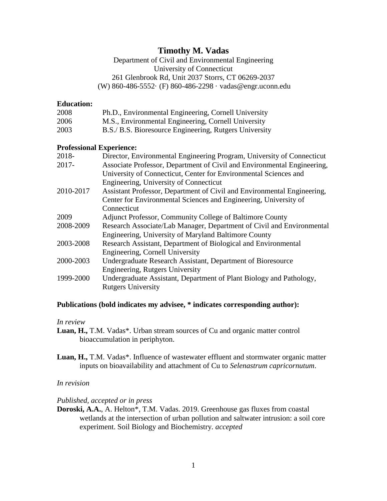# **Timothy M. Vadas**

Department of Civil and Environmental Engineering University of Connecticut 261 Glenbrook Rd, Unit 2037 Storrs, CT 06269-2037 (W) 860-486-5552· (F) 860-486-2298 · vadas@engr.uconn.edu

## **Education:**

| 2008 | Ph.D., Environmental Engineering, Cornell University   |
|------|--------------------------------------------------------|
| 2006 | M.S., Environmental Engineering, Cornell University    |
| 2003 | B.S./ B.S. Bioresource Engineering, Rutgers University |

## **Professional Experience:**

| 2018-     | Director, Environmental Engineering Program, University of Connecticut  |
|-----------|-------------------------------------------------------------------------|
| $2017 -$  | Associate Professor, Department of Civil and Environmental Engineering, |
|           | University of Connecticut, Center for Environmental Sciences and        |
|           | Engineering, University of Connecticut                                  |
| 2010-2017 | Assistant Professor, Department of Civil and Environmental Engineering, |
|           | Center for Environmental Sciences and Engineering, University of        |
|           | Connecticut                                                             |
| 2009      | Adjunct Professor, Community College of Baltimore County                |
| 2008-2009 | Research Associate/Lab Manager, Department of Civil and Environmental   |
|           | Engineering, University of Maryland Baltimore County                    |
| 2003-2008 | Research Assistant, Department of Biological and Environmental          |
|           | Engineering, Cornell University                                         |
| 2000-2003 | Undergraduate Research Assistant, Department of Bioresource             |
|           | Engineering, Rutgers University                                         |
| 1999-2000 | Undergraduate Assistant, Department of Plant Biology and Pathology,     |
|           | <b>Rutgers University</b>                                               |

## **Publications (bold indicates my advisee, \* indicates corresponding author):**

## *In review*

- **Luan, H.,** T.M. Vadas\*. Urban stream sources of Cu and organic matter control bioaccumulation in periphyton.
- **Luan, H.,** T.M. Vadas\*. Influence of wastewater effluent and stormwater organic matter inputs on bioavailability and attachment of Cu to *Selenastrum capricornutum*.

## *In revision*

*Published, accepted or in press*

**Doroski, A.A.**, A. Helton\*, T.M. Vadas. 2019. Greenhouse gas fluxes from coastal wetlands at the intersection of urban pollution and saltwater intrusion: a soil core experiment. Soil Biology and Biochemistry. *accepted*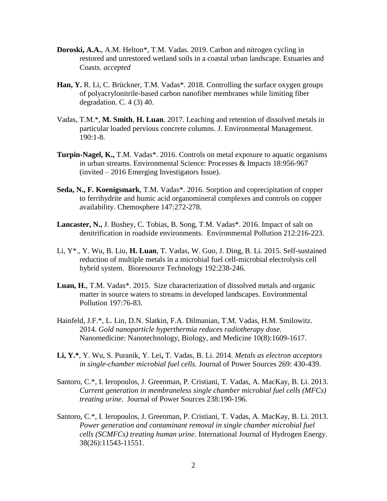- **Doroski, A.A.**, A.M. Helton\*, T.M. Vadas. 2019. Carbon and nitrogen cycling in restored and unrestored wetland soils in a coastal urban landscape. Estuaries and Coasts. *accepted*
- **Han, Y.** R. Li, C. Brückner, T.M. Vadas\*. 2018. Controlling the surface oxygen groups of polyacrylonitrile-based carbon nanofiber membranes while limiting fiber degradation. C.  $4(3)$  40.
- Vadas, T.M.\*, **M. Smith**, **H. Luan**. 2017. Leaching and retention of dissolved metals in particular loaded pervious concrete columns. J. Environmental Management. 190:1-8.
- **Turpin-Nagel, K.,** T.M. Vadas\*. 2016. Controls on metal exposure to aquatic organisms in urban streams. Environmental Science: Processes & Impacts 18:956-967 (invited – 2016 Emerging Investigators Issue).
- **Seda, N., F. Koenigsmark**, T.M. Vadas\*. 2016. Sorption and coprecipitation of copper to ferrihydrite and humic acid organomineral complexes and controls on copper availability. Chemosphere 147:272-278.
- **Lancaster, N.,** J. Bushey, C. Tobias, B. Song, T.M. Vadas\*. 2016. Impact of salt on denitrification in roadside environments. Environmental Pollution 212:216-223.
- Li, Y\*., Y. Wu, B. Liu, **H. Luan**, T. Vadas, W. Guo, J. Ding, B. Li. 2015. Self-sustained reduction of multiple metals in a microbial fuel cell-microbial electrolysis cell hybrid system. Bioresource Technology 192:238-246.
- **Luan, H.**, T.M. Vadas\*. 2015. Size characterization of dissolved metals and organic matter in source waters to streams in developed landscapes. Environmental Pollution 197:76-83.
- Hainfeld, J.F.\*, L. Lin, D.N. Slatkin, F.A. Dilmanian, T.M. Vadas, H.M. Smilowitz. 2014. *Gold nanoparticle hyperthermia reduces radiotherapy dose.* Nanomedicine: Nanotechnology, Biology, and Medicine 10(8):1609-1617.
- **Li, Y.\***, Y. Wu, S. Puranik, Y. Lei**,** T. Vadas, B. Li. 2014. *Metals as electron acceptors in single-chamber microbial fuel cells.* Journal of Power Sources 269: 430-439.
- Santoro, C.\*, I. Ieropoulos, J. Greenman, P. Cristiani, T. Vadas, A. MacKay, B. Li. 2013. *Current generation in membraneless single chamber microbial fuel cells (MFCs) treating urine*. Journal of Power Sources 238:190-196.
- Santoro, C.\*, I. Ieropoulos, J. Greenman, P. Cristiani, T. Vadas, A. MacKay, B. Li. 2013. *Power generation and contaminant removal in single chamber microbial fuel cells (SCMFCs) treating human urine*. International Journal of Hydrogen Energy. 38(26):11543-11551.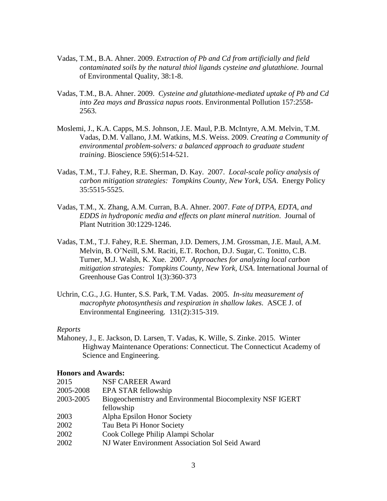- Vadas, T.M., B.A. Ahner. 2009. *Extraction of Pb and Cd from artificially and field contaminated soils by the natural thiol ligands cysteine and glutathione.* Journal of Environmental Quality, 38:1-8.
- Vadas, T.M., B.A. Ahner. 2009. *Cysteine and glutathione-mediated uptake of Pb and Cd into Zea mays and Brassica napus roots*. Environmental Pollution 157:2558- 2563.
- Moslemi, J., K.A. Capps, M.S. Johnson, J.E. Maul, P.B. McIntyre, A.M. Melvin, T.M. Vadas, D.M. Vallano, J.M. Watkins, M.S. Weiss. 2009. *Creating a Community of environmental problem-solvers: a balanced approach to graduate student training*. Bioscience 59(6):514-521.
- Vadas, T.M., T.J. Fahey, R.E. Sherman, D. Kay. 2007. *Local-scale policy analysis of carbon mitigation strategies: Tompkins County, New York, USA*. Energy Policy 35:5515-5525.
- Vadas, T.M., X. Zhang, A.M. Curran, B.A. Ahner. 2007. *Fate of DTPA, EDTA, and EDDS in hydroponic media and effects on plant mineral nutrition*. Journal of Plant Nutrition 30:1229-1246.
- Vadas, T.M., T.J. Fahey, R.E. Sherman, J.D. Demers, J.M. Grossman, J.E. Maul, A.M. Melvin, B. O'Neill, S.M. Raciti, E.T. Rochon, D.J. Sugar, C. Tonitto, C.B. Turner, M.J. Walsh, K. Xue. 2007. *Approaches for analyzing local carbon mitigation strategies: Tompkins County, New York, USA*. International Journal of Greenhouse Gas Control 1(3):360-373
- Uchrin, C.G., J.G. Hunter, S.S. Park, T.M. Vadas. 2005. *In-situ measurement of macrophyte photosynthesis and respiration in shallow lakes*. ASCE J. of Environmental Engineering. 131(2):315-319.

#### *Reports*

Mahoney, J., E. Jackson, D. Larsen, T. Vadas, K. Wille, S. Zinke. 2015. Winter Highway Maintenance Operations: Connecticut. The Connecticut Academy of Science and Engineering.

#### **Honors and Awards:**

| 2015      | <b>NSF CAREER Award</b>                                   |
|-----------|-----------------------------------------------------------|
| 2005-2008 | EPA STAR fellowship                                       |
| 2003-2005 | Biogeochemistry and Environmental Biocomplexity NSF IGERT |
|           | fellowship                                                |
| 2003      | Alpha Epsilon Honor Society                               |
| 2002      | Tau Beta Pi Honor Society                                 |
| 2002      | Cook College Philip Alampi Scholar                        |
| 2002      | NJ Water Environment Association Sol Seid Award           |
|           |                                                           |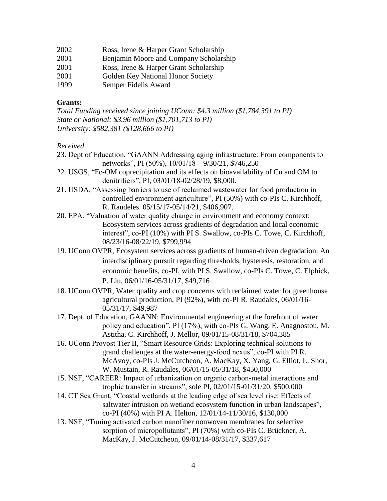- 2002 Ross, Irene & Harper Grant Scholarship
- 2001 Benjamin Moore and Company Scholarship
- 2001 Ross, Irene & Harper Grant Scholarship
- 2001 Golden Key National Honor Society
- 1999 Semper Fidelis Award

## **Grants:**

*Total Funding received since joining UConn: \$4.3 million (\$1,784,391 to PI) State or National: \$3.96 million (\$1,701,713 to PI) University: \$582,381 (\$128,666 to PI)*

## *Received*

- 23. Dept of Education, "GAANN Addressing aging infrastructure: From components to networks", PI (50%), 10/01/18 – 9/30/21, \$746,250
- 22. USGS, "Fe-OM coprecipitation and its effects on bioavailability of Cu and OM to denitrifiers", PI, 03/01/18-02/28/19, \$8,000.
- 21. USDA, "Assessing barriers to use of reclaimed wastewater for food production in controlled environment agriculture", PI (50%) with co-PIs C. Kirchhoff, R. Raudeles. 05/15/17-05/14/21, \$406,907.
- 20. EPA, "Valuation of water quality change in environment and economy context: Ecosystem services across gradients of degradation and local economic interest", co-PI (10%) with PI S. Swallow, co-PIs C. Towe, C. Kirchhoff, 08/23/16-08/22/19, \$799,994
- 19. UConn OVPR, Ecosystem services across gradients of human-driven degradation: An interdisciplinary pursuit regarding thresholds, hysteresis, restoration, and economic benefits, co-PI, with PI S. Swallow, co-PIs C. Towe, C. Elphick, P. Liu, 06/01/16-05/31/17, \$49,716
- 18. UConn OVPR, Water quality and crop concerns with reclaimed water for greenhouse agricultural production, PI (92%), with co-PI R. Raudales, 06/01/16- 05/31/17, \$49,987
- 17. Dept. of Education, GAANN: Environmental engineering at the forefront of water policy and education", PI (17%), with co-PIs G. Wang, E. Anagnostou, M. Astitha, C. Kirchhoff, J. Mellor, 09/01/15-08/31/18, \$704,385
- 16. UConn Provost Tier II, "Smart Resource Grids: Exploring technical solutions to grand challenges at the water-energy-food nexus", co-PI with PI R. McAvoy, co-PIs J. McCutcheon, A. MacKay, X. Yang, G. Elliot, L. Shor, W. Mustain, R. Raudales, 06/01/15-05/31/18, \$450,000
- 15. NSF, "CAREER: Impact of urbanization on organic carbon-metal interactions and trophic transfer in streams", sole PI, 02/01/15-01/31/20, \$500,000
- 14. CT Sea Grant, "Coastal wetlands at the leading edge of sea level rise: Effects of saltwater intrusion on wetland ecosystem function in urban landscapes", co-PI (40%) with PI A. Helton, 12/01/14-11/30/16, \$130,000
- 13. NSF, "Tuning activated carbon nanofiber nonwoven membranes for selective sorption of micropollutants", PI (70%) with co-PIs C. Brückner, A. MacKay, J. McCutcheon, 09/01/14-08/31/17, \$337,617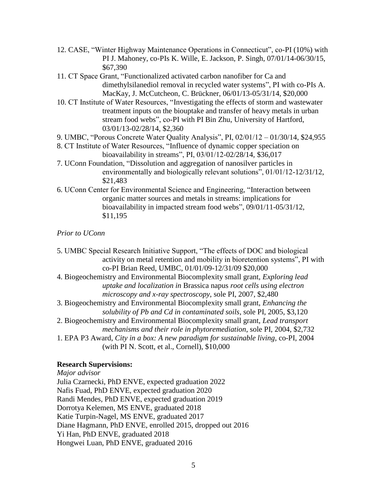- 12. CASE, "Winter Highway Maintenance Operations in Connecticut", co-PI (10%) with PI J. Mahoney, co-PIs K. Wille, E. Jackson, P. Singh, 07/01/14-06/30/15, \$67,390
- 11. CT Space Grant, "Functionalized activated carbon nanofiber for Ca and dimethylsilanediol removal in recycled water systems", PI with co-PIs A. MacKay, J. McCutcheon, C. Brückner, 06/01/13-05/31/14, \$20,000
- 10. CT Institute of Water Resources, "Investigating the effects of storm and wastewater treatment inputs on the biouptake and transfer of heavy metals in urban stream food webs", co-PI with PI Bin Zhu, University of Hartford, 03/01/13-02/28/14, \$2,360
- 9. UMBC, "Porous Concrete Water Quality Analysis", PI, 02/01/12 01/30/14, \$24,955
- 8. CT Institute of Water Resources, "Influence of dynamic copper speciation on bioavailability in streams", PI, 03/01/12-02/28/14, \$36,017
- 7. UConn Foundation, "Dissolution and aggregation of nanosilver particles in environmentally and biologically relevant solutions", 01/01/12-12/31/12, \$21,483
- 6. UConn Center for Environmental Science and Engineering, "Interaction between organic matter sources and metals in streams: implications for bioavailability in impacted stream food webs", 09/01/11-05/31/12, \$11,195

## *Prior to UConn*

5. UMBC Special Research Initiative Support, "The effects of DOC and biological activity on metal retention and mobility in bioretention systems", PI with co-PI Brian Reed, UMBC, 01/01/09-12/31/09 \$20,000 4. Biogeochemistry and Environmental Biocomplexity small grant, *Exploring lead uptake and localization in* Brassica napus *root cells using electron microscopy and x-ray spectroscopy*, sole PI, 2007, \$2,480 3. Biogeochemistry and Environmental Biocomplexity small grant, *Enhancing the solubility of Pb and Cd in contaminated soils*, sole PI, 2005, \$3,120 2. Biogeochemistry and Environmental Biocomplexity small grant, *Lead transport mechanisms and their role in phytoremediation*, sole PI, 2004, \$2,732 1. EPA P3 Award, *City in a box: A new paradigm for sustainable living*, co-PI, 2004 (with PI N. Scott, et al., Cornell), \$10,000

#### **Research Supervisions:**

*Major advisor* Julia Czarnecki, PhD ENVE, expected graduation 2022 Nafis Fuad, PhD ENVE, expected graduation 2020 Randi Mendes, PhD ENVE, expected graduation 2019 Dorrotya Kelemen, MS ENVE, graduated 2018 Katie Turpin-Nagel, MS ENVE, graduated 2017 Diane Hagmann, PhD ENVE, enrolled 2015, dropped out 2016 Yi Han, PhD ENVE, graduated 2018 Hongwei Luan, PhD ENVE, graduated 2016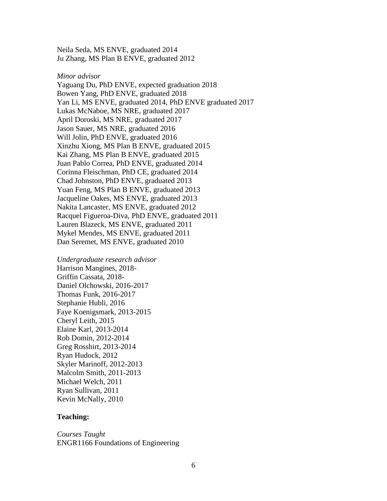Neila Seda, MS ENVE, graduated 2014 Ju Zhang, MS Plan B ENVE, graduated 2012

#### *Minor advisor*

Yaguang Du, PhD ENVE, expected graduation 2018 Bowen Yang, PhD ENVE, graduated 2018 Yan Li, MS ENVE, graduated 2014, PhD ENVE graduated 2017 Lukas McNaboe, MS NRE, graduated 2017 April Doroski, MS NRE, graduated 2017 Jason Sauer, MS NRE, graduated 2016 Will Jolin, PhD ENVE, graduated 2016 Xinzhu Xiong, MS Plan B ENVE, graduated 2015 Kai Zhang, MS Plan B ENVE, graduated 2015 Juan Pablo Correa, PhD ENVE, graduated 2014 Corinna Fleischman, PhD CE, graduated 2014 Chad Johnston, PhD ENVE, graduated 2013 Yuan Feng, MS Plan B ENVE, graduated 2013 Jacqueline Oakes, MS ENVE, graduated 2013 Nakita Lancaster, MS ENVE, graduated 2012 Racquel Figueroa-Diva, PhD ENVE, graduated 2011 Lauren Blazeck, MS ENVE, graduated 2011 Mykel Mendes, MS ENVE, graduated 2011 Dan Seremet, MS ENVE, graduated 2010

*Undergraduate research advisor* Harrison Mangines, 2018- Griffin Cassata, 2018- Daniel Olchowski, 2016-2017 Thomas Funk, 2016-2017 Stephanie Hubli, 2016 Faye Koenigsmark, 2013-2015 Cheryl Leith, 2015 Elaine Karl, 2013-2014 Rob Domin, 2012-2014 Greg Rosshirt, 2013-2014 Ryan Hudock, 2012 Skyler Marinoff, 2012-2013 Malcolm Smith, 2011-2013 Michael Welch, 2011 Ryan Sullivan, 2011 Kevin McNally, 2010

## **Teaching:**

*Courses Taught* ENGR1166 Foundations of Engineering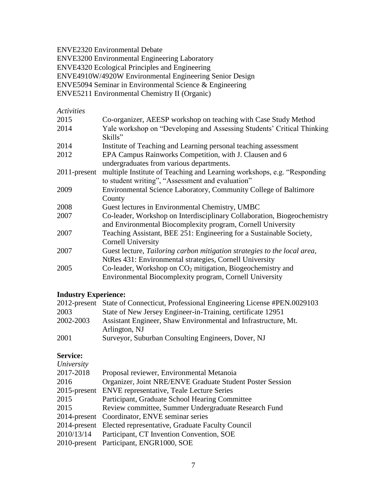ENVE2320 Environmental Debate

ENVE3200 Environmental Engineering Laboratory

ENVE4320 Ecological Principles and Engineering

ENVE4910W/4920W Environmental Engineering Senior Design

ENVE5094 Seminar in Environmental Science & Engineering

ENVE5211 Environmental Chemistry II (Organic)

## *Activities*

| 2015            | Co-organizer, AEESP workshop on teaching with Case Study Method          |
|-----------------|--------------------------------------------------------------------------|
| 2014            | Yale workshop on "Developing and Assessing Students' Critical Thinking   |
|                 | Skills"                                                                  |
| 2014            | Institute of Teaching and Learning personal teaching assessment          |
| 2012            | EPA Campus Rainworks Competition, with J. Clausen and 6                  |
|                 | undergraduates from various departments.                                 |
| $2011$ -present | multiple Institute of Teaching and Learning workshops, e.g. "Responding  |
|                 | to student writing", "Assessment and evaluation"                         |
| 2009            | Environmental Science Laboratory, Community College of Baltimore         |
|                 | County                                                                   |
| 2008            | Guest lectures in Environmental Chemistry, UMBC                          |
| 2007            | Co-leader, Workshop on Interdisciplinary Collaboration, Biogeochemistry  |
|                 | and Environmental Biocomplexity program, Cornell University              |
| 2007            | Teaching Assistant, BEE 251: Engineering for a Sustainable Society,      |
|                 | <b>Cornell University</b>                                                |
| 2007            | Guest lecture, Tailoring carbon mitigation strategies to the local area, |
|                 | NtRes 431: Environmental strategies, Cornell University                  |
| 2005            | Co-leader, Workshop on $CO2$ mitigation, Biogeochemistry and             |
|                 | Environmental Biocomplexity program, Cornell University                  |

# **Industry Experience:**

|           | 2012-present State of Connecticut, Professional Engineering License #PEN.0029103 |
|-----------|----------------------------------------------------------------------------------|
| 2003      | State of New Jersey Engineer-in-Training, certificate 12951                      |
| 2002-2003 | Assistant Engineer, Shaw Environmental and Infrastructure, Mt.                   |
|           | Arlington, NJ                                                                    |
| 2001      | Surveyor, Suburban Consulting Engineers, Dover, NJ                               |

## **Service:**

| University      |                                                               |
|-----------------|---------------------------------------------------------------|
| 2017-2018       | Proposal reviewer, Environmental Metanoia                     |
| 2016            | Organizer, Joint NRE/ENVE Graduate Student Poster Session     |
| $2015$ -present | <b>ENVE</b> representative, Teale Lecture Series              |
| 2015            | Participant, Graduate School Hearing Committee                |
| 2015            | Review committee, Summer Undergraduate Research Fund          |
|                 | 2014-present Coordinator, ENVE seminar series                 |
|                 | 2014-present Elected representative, Graduate Faculty Council |
| 2010/13/14      | Participant, CT Invention Convention, SOE                     |
|                 | 2010-present Participant, ENGR1000, SOE                       |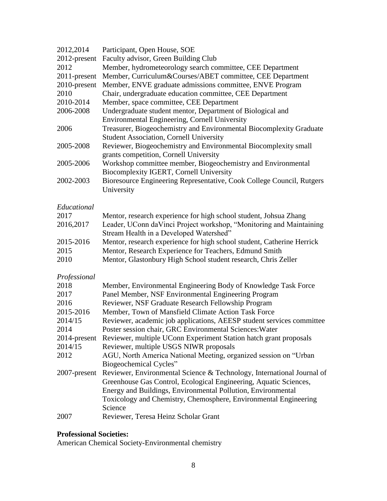| 2012,2014    | Participant, Open House, SOE                                                                                                     |
|--------------|----------------------------------------------------------------------------------------------------------------------------------|
| 2012-present | Faculty advisor, Green Building Club                                                                                             |
| 2012         | Member, hydrometeorology search committee, CEE Department                                                                        |
| 2011-present | Member, Curriculum&Courses/ABET committee, CEE Department                                                                        |
| 2010-present | Member, ENVE graduate admissions committee, ENVE Program                                                                         |
| 2010         | Chair, undergraduate education committee, CEE Department                                                                         |
| 2010-2014    | Member, space committee, CEE Department                                                                                          |
| 2006-2008    | Undergraduate student mentor, Department of Biological and                                                                       |
|              | Environmental Engineering, Cornell University                                                                                    |
| 2006         | Treasurer, Biogeochemistry and Environmental Biocomplexity Graduate<br><b>Student Association, Cornell University</b>            |
| 2005-2008    | Reviewer, Biogeochemistry and Environmental Biocomplexity small<br>grants competition, Cornell University                        |
| 2005-2006    | Workshop committee member, Biogeochemistry and Environmental<br>Biocomplexity IGERT, Cornell University                          |
| 2002-2003    | Bioresource Engineering Representative, Cook College Council, Rutgers<br>University                                              |
| Educational  |                                                                                                                                  |
| 2017         | Mentor, research experience for high school student, Johsua Zhang                                                                |
| 2016,2017    | Leader, UConn daVinci Project workshop, "Monitoring and Maintaining<br>Stream Health in a Developed Watershed"                   |
| 2015-2016    | Mentor, research experience for high school student, Catherine Herrick                                                           |
| 2015         | Mentor, Research Experience for Teachers, Edmund Smith                                                                           |
| 2010         | Mentor, Glastonbury High School student research, Chris Zeller                                                                   |
| Professional |                                                                                                                                  |
| 2018         | Member, Environmental Engineering Body of Knowledge Task Force                                                                   |
| 2017         | Panel Member, NSF Environmental Engineering Program                                                                              |
| 2016         | Reviewer, NSF Graduate Research Fellowship Program                                                                               |
| 2015-2016    | Member, Town of Mansfield Climate Action Task Force                                                                              |
| 2014/15      | Reviewer, academic job applications, AEESP student services committee                                                            |
| 2014         | Poster session chair, GRC Environmental Sciences: Water                                                                          |
|              | 2014-present Reviewer, multiple UConn Experiment Station hatch grant proposals                                                   |
| 2014/15      | Reviewer, multiple USGS NIWR proposals                                                                                           |
| 2012         | AGU, North America National Meeting, organized session on "Urban                                                                 |
|              | Biogeochemical Cycles"                                                                                                           |
| 2007-present | Reviewer, Environmental Science & Technology, International Journal of                                                           |
|              | Greenhouse Gas Control, Ecological Engineering, Aquatic Sciences,                                                                |
|              | Energy and Buildings, Environmental Pollution, Environmental<br>Toxicology and Chemistry, Chemosphere, Environmental Engineering |
|              | Science                                                                                                                          |
| 2007         | Reviewer, Teresa Heinz Scholar Grant                                                                                             |

# **Professional Societies:**

American Chemical Society-Environmental chemistry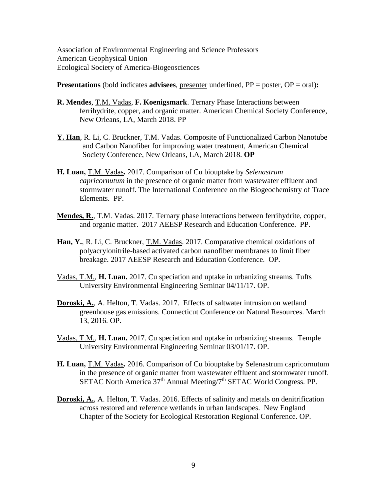Association of Environmental Engineering and Science Professors American Geophysical Union Ecological Society of America-Biogeosciences

**Presentations** (bold indicates **advisees**, presenter underlined, PP = poster, OP = oral)**:**

- **R. Mendes**, T.M. Vadas, **F. Koenigsmark**. Ternary Phase Interactions between ferrihydrite, copper, and organic matter. American Chemical Society Conference, New Orleans, LA, March 2018. PP
- **Y. Han**, R. Li, C. Bruckner, T.M. Vadas. Composite of Functionalized Carbon Nanotube and Carbon Nanofiber for improving water treatment, American Chemical Society Conference, New Orleans, LA, March 2018. **OP**
- **H. Luan,** T.M. Vadas**.** 2017. Comparison of Cu biouptake by *Selenastrum capricornutum* in the presence of organic matter from wastewater effluent and stormwater runoff. The International Conference on the Biogeochemistry of Trace Elements. PP.
- **Mendes, R.**, T.M. Vadas. 2017. Ternary phase interactions between ferrihydrite, copper, and organic matter. 2017 AEESP Research and Education Conference. PP.
- **Han, Y.**, R. Li, C. Bruckner, T.M. Vadas. 2017. Comparative chemical oxidations of polyacrylonitrile-based activated carbon nanofiber membranes to limit fiber breakage. 2017 AEESP Research and Education Conference. OP.
- Vadas, T.M., **H. Luan.** 2017. Cu speciation and uptake in urbanizing streams. Tufts University Environmental Engineering Seminar 04/11/17. OP.
- **Doroski, A.**, A. Helton, T. Vadas. 2017. Effects of saltwater intrusion on wetland greenhouse gas emissions. Connecticut Conference on Natural Resources. March 13, 2016. OP.
- Vadas, T.M., **H. Luan.** 2017. Cu speciation and uptake in urbanizing streams. Temple University Environmental Engineering Seminar 03/01/17. OP.
- **H. Luan,** T.M. Vadas**.** 2016. Comparison of Cu biouptake by Selenastrum capricornutum in the presence of organic matter from wastewater effluent and stormwater runoff. SETAC North America 37<sup>th</sup> Annual Meeting/7<sup>th</sup> SETAC World Congress. PP.
- **Doroski, A.**, A. Helton, T. Vadas. 2016. Effects of salinity and metals on denitrification across restored and reference wetlands in urban landscapes. New England Chapter of the Society for Ecological Restoration Regional Conference. OP.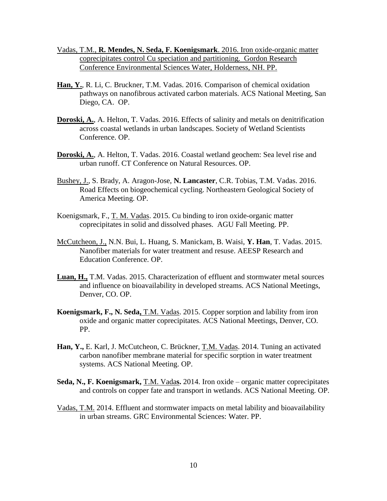- Vadas, T.M., **R. Mendes, N. Seda, F. Koenigsmark**. 2016. Iron oxide-organic matter coprecipitates control Cu speciation and partitioning. Gordon Research Conference Environmental Sciences Water, Holderness, NH. PP.
- **Han, Y.**, R. Li, C. Bruckner, T.M. Vadas. 2016. Comparison of chemical oxidation pathways on nanofibrous activated carbon materials. ACS National Meeting, San Diego, CA. OP.
- **Doroski, A.**, A. Helton, T. Vadas. 2016. Effects of salinity and metals on denitrification across coastal wetlands in urban landscapes. Society of Wetland Scientists Conference. OP.
- **Doroski, A.**, A. Helton, T. Vadas. 2016. Coastal wetland geochem: Sea level rise and urban runoff. CT Conference on Natural Resources. OP.
- Bushey, J., S. Brady, A. Aragon-Jose, **N. Lancaster**, C.R. Tobias, T.M. Vadas. 2016. Road Effects on biogeochemical cycling. Northeastern Geological Society of America Meeting. OP.
- Koenigsmark, F., T. M. Vadas. 2015. Cu binding to iron oxide-organic matter coprecipitates in solid and dissolved phases. AGU Fall Meeting. PP.
- McCutcheon, J., N.N. Bui, L. Huang, S. Manickam, B. Waisi, **Y. Han**, T. Vadas. 2015. Nanofiber materials for water treatment and resuse. AEESP Research and Education Conference. OP.
- **Luan, H.,** T.M. Vadas. 2015. Characterization of effluent and stormwater metal sources and influence on bioavailability in developed streams. ACS National Meetings, Denver, CO. OP.
- **Koenigsmark, F., N. Seda,** T.M. Vadas. 2015. Copper sorption and lability from iron oxide and organic matter coprecipitates. ACS National Meetings, Denver, CO. PP.
- **Han, Y.,** E. Karl, J. McCutcheon, C. Brückner, T.M. Vadas. 2014. Tuning an activated carbon nanofiber membrane material for specific sorption in water treatment systems. ACS National Meeting. OP.
- **Seda, N., F. Koenigsmark,** T.M. Vada**s.** 2014. Iron oxide organic matter coprecipitates and controls on copper fate and transport in wetlands. ACS National Meeting. OP.
- Vadas, T.M. 2014. Effluent and stormwater impacts on metal lability and bioavailability in urban streams. GRC Environmental Sciences: Water. PP.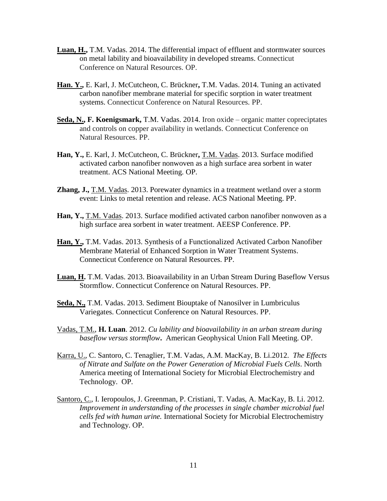- **Luan, H.,** T.M. Vadas. 2014. The differential impact of effluent and stormwater sources on metal lability and bioavailability in developed streams. Connecticut Conference on Natural Resources. OP.
- **Han. Y.,** E. Karl, J. McCutcheon, C. Brückner**,** T.M. Vadas. 2014. Tuning an activated carbon nanofiber membrane material for specific sorption in water treatment systems. Connecticut Conference on Natural Resources. PP.
- **Seda, N., F. Koenigsmark,** T.M. Vadas. 2014. Iron oxide organic matter copreciptates and controls on copper availability in wetlands. Connecticut Conference on Natural Resources. PP.
- **Han, Y.,** E. Karl, J. McCutcheon, C. Brückner**,** T.M. Vadas. 2013. Surface modified activated carbon nanofiber nonwoven as a high surface area sorbent in water treatment. ACS National Meeting. OP.
- **Zhang, J.,** T.M. Vadas. 2013. Porewater dynamics in a treatment wetland over a storm event: Links to metal retention and release. ACS National Meeting. PP.
- Han, Y., T.M. Vadas. 2013. Surface modified activated carbon nanofiber nonwoven as a high surface area sorbent in water treatment. AEESP Conference. PP.
- **Han, Y.,** T.M. Vadas. 2013. Synthesis of a Functionalized Activated Carbon Nanofiber Membrane Material of Enhanced Sorption in Water Treatment Systems. Connecticut Conference on Natural Resources. PP.
- **Luan, H.** T.M. Vadas. 2013. Bioavailability in an Urban Stream During Baseflow Versus Stormflow. Connecticut Conference on Natural Resources. PP.
- **Seda, N.,** T.M. Vadas. 2013. Sediment Biouptake of Nanosilver in Lumbriculus Variegates. Connecticut Conference on Natural Resources. PP.
- Vadas, T.M., **H. Luan**. 2012. *Cu lability and bioavailability in an urban stream during baseflow versus stormflow***.** American Geophysical Union Fall Meeting. OP.
- Karra, U., C. Santoro, C. Tenaglier, T.M. Vadas, A.M. MacKay, B. Li.2012. *The Effects of Nitrate and Sulfate on the Power Generation of Microbial Fuels Cells*. North America meeting of International Society for Microbial Electrochemistry and Technology. OP.
- Santoro, C., I. Ieropoulos, J. Greenman, P. Cristiani, T. Vadas, A. MacKay, B. Li. 2012. *Improvement in understanding of the processes in single chamber microbial fuel cells fed with human urine.* International Society for Microbial Electrochemistry and Technology. OP.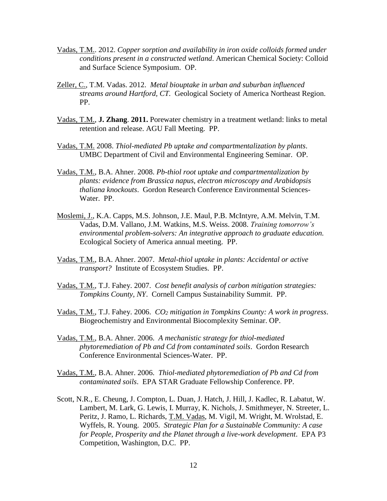- Vadas, T.M.. 2012. *Copper sorption and availability in iron oxide colloids formed under conditions present in a constructed wetland*. American Chemical Society: Colloid and Surface Science Symposium. OP.
- Zeller, C., T.M. Vadas. 2012. *Metal biouptake in urban and suburban influenced streams around Hartford, CT.* Geological Society of America Northeast Region. PP.
- Vadas, T.M., **J. Zhang**. **2011.** Porewater chemistry in a treatment wetland: links to metal retention and release. AGU Fall Meeting. PP.
- Vadas, T.M. 2008. *Thiol-mediated Pb uptake and compartmentalization by plants*. UMBC Department of Civil and Environmental Engineering Seminar. OP.
- Vadas, T.M., B.A. Ahner. 2008. *Pb-thiol root uptake and compartmentalization by plants: evidence from Brassica napus, electron microscopy and Arabidopsis thaliana knockouts*. Gordon Research Conference Environmental Sciences-Water. PP.
- Moslemi, J., K.A. Capps, M.S. Johnson, J.E. Maul, P.B. McIntyre, A.M. Melvin, T.M. Vadas, D.M. Vallano, J.M. Watkins, M.S. Weiss. 2008. *Training tomorrow's environmental problem-solvers: An integrative approach to graduate education.*  Ecological Society of America annual meeting. PP.
- Vadas, T.M., B.A. Ahner. 2007. *Metal-thiol uptake in plants: Accidental or active transport?* Institute of Ecosystem Studies. PP.
- Vadas, T.M., T.J. Fahey. 2007. *Cost benefit analysis of carbon mitigation strategies: Tompkins County, NY*. Cornell Campus Sustainability Summit. PP.
- Vadas, T.M., T.J. Fahey. 2006. *CO<sup>2</sup> mitigation in Tompkins County: A work in progress*. Biogeochemistry and Environmental Biocomplexity Seminar. OP.
- Vadas, T.M., B.A. Ahner. 2006. *A mechanistic strategy for thiol-mediated phytoremediation of Pb and Cd from contaminated soils*. Gordon Research Conference Environmental Sciences-Water. PP.
- Vadas, T.M., B.A. Ahner. 2006. *Thiol-mediated phytoremediation of Pb and Cd from contaminated soils*. EPA STAR Graduate Fellowship Conference. PP.
- Scott, N.R., E. Cheung, J. Compton, L. Duan, J. Hatch, J. Hill, J. Kadlec, R. Labatut, W. Lambert, M. Lark, G. Lewis, I. Murray, K. Nichols, J. Smithmeyer, N. Streeter, L. Peritz, J. Ramo, L. Richards, T.M. Vadas, M. Vigil, M. Wright, M. Wrolstad, E. Wyffels, R. Young. 2005. *Strategic Plan for a Sustainable Community: A case for People, Prosperity and the Planet through a live-work development*. EPA P3 Competition, Washington, D.C. PP.